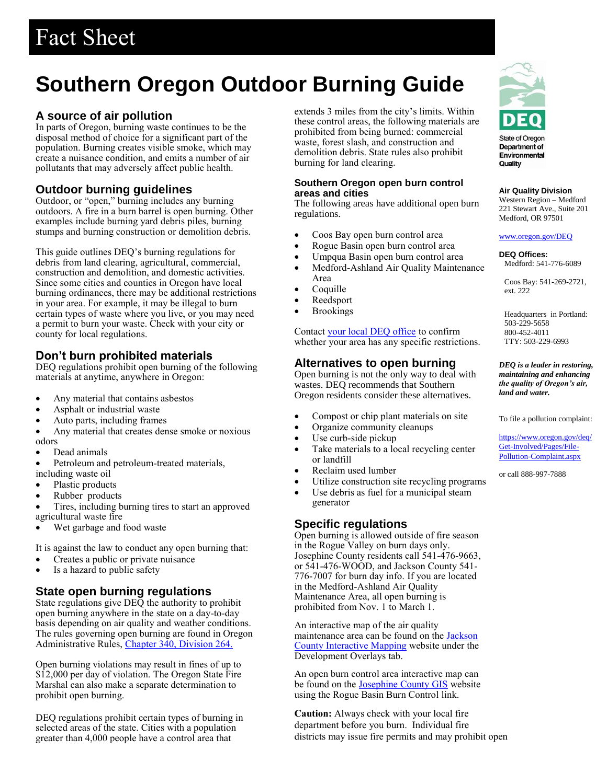# Fact Sheet

# **Southern Oregon Outdoor Burning Guide**

## **A source of air pollution**

In parts of Oregon, burning waste continues to be the disposal method of choice for a significant part of the population. Burning creates visible smoke, which may create a nuisance condition, and emits a number of air pollutants that may adversely affect public health.

## **Outdoor burning guidelines**

Outdoor, or "open," burning includes any burning outdoors. A fire in a burn barrel is open burning. Other examples include burning yard debris piles, burning stumps and burning construction or demolition debris.

This guide outlines DEQ's burning regulations for debris from land clearing, agricultural, commercial, construction and demolition, and domestic activities. Since some cities and counties in Oregon have local burning ordinances, there may be additional restrictions in your area. For example, it may be illegal to burn certain types of waste where you live, or you may need a permit to burn your waste. Check with your city or county for local regulations.

# **Don't burn prohibited materials**

DEQ regulations prohibit open burning of the following materials at anytime, anywhere in Oregon:

- Any material that contains asbestos
- Asphalt or industrial waste
- Auto parts, including frames
- Any material that creates dense smoke or noxious odors
- Dead animals
- Petroleum and petroleum-treated materials, including waste oil
- Plastic products
- Rubber products
- Tires, including burning tires to start an approved agricultural waste fire
- Wet garbage and food waste

It is against the law to conduct any open burning that:

- Creates a public or private nuisance
- Is a hazard to public safety

# **State open burning regulations**

State regulations give DEQ the authority to prohibit open burning anywhere in the state on a day-to-day basis depending on air quality and weather conditions. The rules governing open burning are found in Oregon Administrative Rules, [Chapter 340, Division 264.](https://secure.sos.state.or.us/oard/displayDivisionRules.action?selectedDivision=1568)

Open burning violations may result in fines of up to \$12,000 per day of violation. The Oregon State Fire Marshal can also make a separate determination to prohibit open burning.

DEQ regulations prohibit certain types of burning in selected areas of the state. Cities with a population greater than 4,000 people have a control area that

extends 3 miles from the city's limits. Within these control areas, the following materials are prohibited from being burned: commercial waste, forest slash, and construction and demolition debris. State rules also prohibit burning for land clearing.

## **Southern Oregon open burn control areas and cities**

The following areas have additional open burn regulations.

- Coos Bay open burn control area
- Rogue Basin open burn control area
- Umpqua Basin open burn control area
- Medford-Ashland Air Quality Maintenance Area
- Coquille
- Reedsport
- Brookings

Contact [your local DEQ office](https://www.oregon.gov/deq/aq/Pages/Burning.aspx) to confirm whether your area has any specific restrictions.

# **Alternatives to open burning**

Open burning is not the only way to deal with wastes. DEQ recommends that Southern Oregon residents consider these alternatives.

- Compost or chip plant materials on site
- Organize community cleanups
- Use curb-side pickup
- Take materials to a local recycling center or landfill
- Reclaim used lumber
- Utilize construction site recycling programs
- Use debris as fuel for a municipal steam generator

## **Specific regulations**

Open burning is allowed outside of fire season in the Rogue Valley on burn days only. Josephine County residents call 541-476-9663, or 541-476-WOOD, and Jackson County 541- 776-7007 for burn day info. If you are located in the Medford-Ashland Air Quality Maintenance Area, all open burning is prohibited from Nov. 1 to March 1.

An interactive map of the air quality maintenance area can be found on the **Jackson** [County Interactive Mapping](https://jcgis.maps.arcgis.com/apps/MapSeries/index.html?appid=fa99a30541d94b86aef4a39bc68d0580) website under the Development Overlays tab.

An open burn control area interactive map can be found on the [Josephine County GIS](http://joco.maps.arcgis.com/apps/webappviewer/index.html?id=4104acb93ba04951afbf6241d8432cc6) website using the Rogue Basin Burn Control link.

**Caution:** Always check with your local fire department before you burn. Individual fire districts may issue fire permits and may prohibit open



Department of Environmental Quality

#### **Air Quality Division**

Western Region – Medford 221 Stewart Ave., Suite 201 Medford, OR 97501

#### [www.oregon.gov/DEQ](http://www.oregon.gov/deq)

#### **DEQ Offices:**

Medford: 541-776-6089

Coos Bay: 541-269-2721, ext. 222

Headquarters in Portland: 503-229-5658 800-452-4011 TTY: 503-229-6993

*DEQ is a leader in restoring, maintaining and enhancing the quality of Oregon's air, land and water.*

To file a pollution complaint:

[https://www.oregon.gov/deq/](https://www.oregon.gov/deq/Get-Involved/Pages/File-Pollution-Complaint.aspx) [Get-Involved/Pages/File-](https://www.oregon.gov/deq/Get-Involved/Pages/File-Pollution-Complaint.aspx)[Pollution-Complaint.aspx](https://www.oregon.gov/deq/Get-Involved/Pages/File-Pollution-Complaint.aspx)

or call 888-997-7888